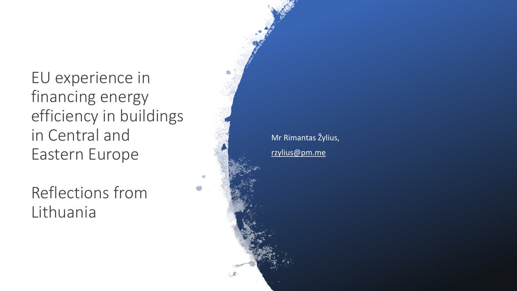EU experience in financing energy efficiency in buildings in Central and Eastern Europe

Reflections from Lithuania

Mr Rimantas Žylius, [rzylius@pm.me](mailto:rzylius@pm.me)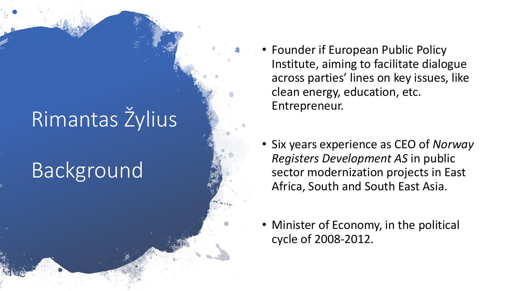# Rimantas Žylius

### Background

- Founder if European Public Policy Institute, aiming to facilitate dialogue across parties' lines on key issues, like clean energy, education, etc. Entrepreneur.
- Six years experience as CEO of *Norway Registers Development AS* in public sector modernization projects in East Africa, South and South East Asia.
- Minister of Economy, in the political cycle of 2008-2012.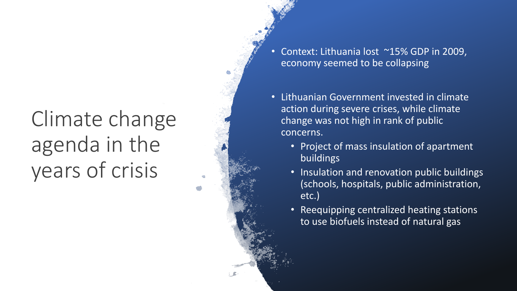### Climate change agenda in the years of crisis

• Context: Lithuania lost ~15% GDP in 2009, economy seemed to be collapsing

• Lithuanian Government invested in climate action during severe crises, while climate change was not high in rank of public concerns.

- Project of mass insulation of apartment buildings
- Insulation and renovation public buildings (schools, hospitals, public administration, etc.)
- Reequipping centralized heating stations to use biofuels instead of natural gas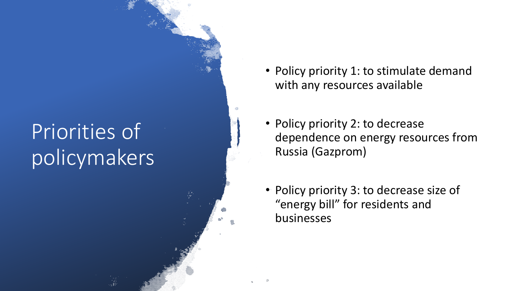#### Priorities of policymakers

- Policy priority 1: to stimulate demand with any resources available
- Policy priority 2: to decrease dependence on energy resources from Russia (Gazprom)
- Policy priority 3: to decrease size of "energy bill" for residents and businesses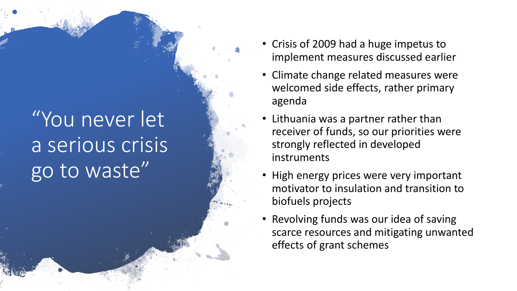## "You never let a serious crisis go to waste"

- Crisis of 2009 had a huge impetus to implement measures discussed earlier
- Climate change related measures were welcomed side effects, rather primary agenda
- Lithuania was a partner rather than receiver of funds, so our priorities were strongly reflected in developed instruments
- High energy prices were very important motivator to insulation and transition to biofuels projects
- Revolving funds was our idea of saving scarce resources and mitigating unwanted effects of grant schemes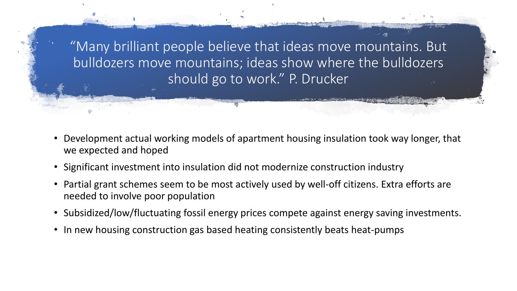"Many brilliant people believe that ideas move mountains. But bulldozers move mountains; ideas show where the bulldozers should go to work." P. Drucker

- Development actual working models of apartment housing insulation took way longer, that we expected and hoped
- Significant investment into insulation did not modernize construction industry
- Partial grant schemes seem to be most actively used by well-off citizens. Extra efforts are needed to involve poor population
- Subsidized/low/fluctuating fossil energy prices compete against energy saving investments.
- In new housing construction gas based heating consistently beats heat-pumps